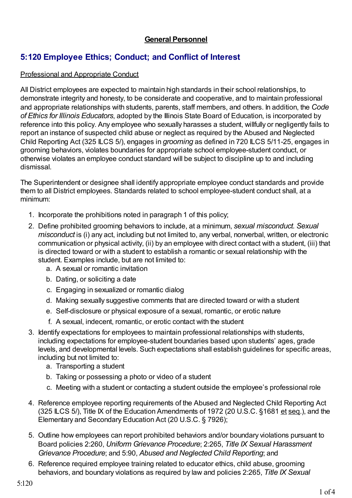## **General Personnel**

# **5:120 Employee Ethics; Conduct; and Conflict of Interest**

## Professional and Appropriate Conduct

All District employees are expected to maintain high standards in their school relationships, to demonstrate integrity and honesty, to be considerate and cooperative, and to maintain professional and appropriate relationships with students, parents, staff members, and others. In addition, the *Code of Ethics for Illinois Educators*, adopted by the Illinois State Board of Education, is incorporated by reference into this policy. Any employee who sexually harasses a student, willfully or negligently fails to report an instance of suspected child abuse or neglect as required by the Abused and Neglected Child Reporting Act (325 ILCS 5/), engages in *grooming* as defined in 720 ILCS 5/11-25, engages in grooming behaviors, violates boundaries for appropriate school employee-student conduct, or otherwise violates an employee conduct standard will be subject to discipline up to and including dismissal.

The Superintendent or designee shall identify appropriate employee conduct standards and provide them to all District employees. Standards related to school employee-student conduct shall, at a minimum:

- 1. Incorporate the prohibitions noted in paragraph 1 of this policy;
- 2. Define prohibited grooming behaviors to include, at a minimum, *sexual misconduct. Sexual misconduct* is (i) any act, including but not limited to, any verbal, nonverbal, written, or electronic communication or physical activity, (ii) by an employee with direct contact with a student, (iii) that is directed toward or with a student to establish a romantic or sexual relationship with the student. Examples include, but are not limited to:
	- a. A sexual or romantic invitation
	- b. Dating, or soliciting a date
	- c. Engaging in sexualized or romantic dialog
	- d. Making sexually suggestive comments that are directed toward or with a student
	- e. Self-disclosure or physical exposure of a sexual, romantic, or erotic nature
	- f. A sexual, indecent, romantic, or erotic contact with the student
- 3. Identify expectations for employees to maintain professional relationships with students, including expectations for employee-student boundaries based upon students' ages, grade levels, and developmental levels. Such expectations shall establish guidelines for specific areas, including but not limited to:
	- a. Transporting a student
	- b. Taking or possessing a photo or video of a student
	- c. Meeting with a student or contacting a student outside the employee's professional role
- 4. Reference employee reporting requirements of the Abused and Neglected Child Reporting Act (325 ILCS 5/), Title IX of the Education Amendments of 1972 (20 U.S.C. §1681 et seq.), and the Elementary and Secondary Education Act (20 U.S.C. § 7926);
- 5. Outline how employees can report prohibited behaviors and/or boundary violations pursuant to Board policies 2:260, *Uniform Grievance Procedure*; 2:265, *Title IX Sexual Harassment Grievance Procedure*; and 5:90, *Abused and Neglected Child Reporting*; and
- 6. Reference required employee training related to educator ethics, child abuse, grooming behaviors, and boundary violations as required by law and policies 2:265, *Title IX Sexual*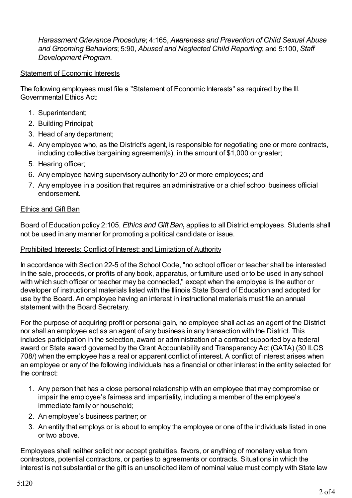*Harassment Grievance Procedure*; 4:165, *Awareness and Prevention of Child Sexual Abuse and Grooming Behaviors*; 5:90, *Abused and Neglected Child Reporting*; and 5:100, *Staff Development Program*.

#### Statement of Economic Interests

The following employees must file a "Statement of Economic Interests" as required by the Ill. Governmental Ethics Act:

- 1. Superintendent;
- 2. Building Principal;
- 3. Head of any department;
- 4. Any employee who, as the District's agent, is responsible for negotiating one or more contracts, including collective bargaining agreement(s), in the amount of \$1,000 or greater;
- 5. Hearing officer;
- 6. Any employee having supervisory authority for 20 or more employees; and
- 7. Any employee in a position that requires an administrative or a chief school business official endorsement.

#### Ethics and Gift Ban

Board of Education policy 2:105, *Ethics and Gift Ban***,** applies to all District employees. Students shall not be used in any manner for promoting a political candidate or issue.

#### Prohibited Interests; Conflict of Interest; and Limitation of Authority

In accordance with Section 22-5 of the School Code, "no school officer or teacher shall be interested in the sale, proceeds, or profits of any book, apparatus, or furniture used or to be used in any school with which such officer or teacher may be connected," except when the employee is the author or developer of instructional materials listed with the Illinois State Board of Education and adopted for use by the Board. An employee having an interest in instructional materials must file an annual statement with the Board Secretary.

For the purpose of acquiring profit or personal gain, no employee shall act as an agent of the District nor shall an employee act as an agent of any business in any transaction with the District. This includes participation in the selection, award or administration of a contract supported by a federal award or State award governed by the Grant Accountability and Transparency Act (GATA) (30 ILCS 708/) when the employee has a real or apparent conflict of interest. A conflict of interest arises when an employee or any of the following individuals has a financial or other interest in the entity selected for the contract:

- 1. Any person that has a close personal relationship with an employee that may compromise or impair the employee's fairness and impartiality, including a member of the employee's immediate family or household;
- 2. An employee's business partner; or
- 3. An entity that employs or is about to employ the employee or one of the individuals listed in one or two above.

Employees shall neither solicit nor accept gratuities, favors, or anything of monetary value from contractors, potential contractors, or parties to agreements or contracts. Situations in which the interest is not substantial or the gift is an unsolicited item of nominal value must comply with State law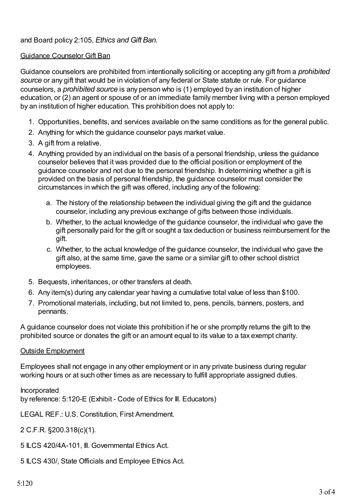## and Board policy 2:105, *Ethics and Gift Ban*.

### Guidance Counselor Gift Ban

Guidance counselors are prohibited from intentionally soliciting or accepting any gift from a *prohibited source* or any gift that would be in violation of any federal or State statute or rule. For guidance counselors, a *prohibited source* is any person who is (1) employed by an institution of higher education, or (2) an agent or spouse of or an immediate family member living with a person employed by an institution of higher education. This prohibition does not apply to:

- 1. Opportunities, benefits, and services available on the same conditions as for the general public.
- 2. Anything for which the guidance counselor pays market value.
- 3. A gift from a relative.
- 4. Anything provided by an individual on the basis of a personal friendship, unless the guidance counselor believes that it was provided due to the official position or employment of the guidance counselor and not due to the personal friendship. In determining whether a gift is provided on the basis of personal friendship, the guidance counselor must consider the circumstances in which the gift was offered, including any of the following:
	- a. The history of the relationship between the individual giving the gift and the guidance counselor, including any previous exchange of gifts between those individuals.
	- b. Whether, to the actual knowledge of the guidance counselor, the individual who gave the gift personally paid for the gift or sought a tax deduction or business reimbursement for the gift.
	- c. Whether, to the actual knowledge of the guidance counselor, the individual who gave the gift also, at the same time, gave the same or a similar gift to other school district employees.
- 5. Bequests, inheritances, or other transfers at death.
- 6. Any item(s) during any calendar year having a cumulative total value of less than \$100.
- 7. Promotional materials, including, but not limited to, pens, pencils, banners, posters, and pennants.

A guidance counselor does not violate this prohibition if he or she promptly returns the gift to the prohibited source or donates the gift or an amount equal to its value to a tax exempt charity.

#### Outside Employment

Employees shall not engage in any other employment or in any private business during regular working hours or at such other times as are necessary to fulfill appropriate assigned duties.

Incorporated by reference: 5:120-E (Exhibit - Code of Ethics for Ill. Educators)

LEGAL REF.: U.S. Constitution, First Amendment.

2 C.F.R. §200.318(c)(1).

5 ILCS 420/4A-101, Ill. Governmental Ethics Act.

5 ILCS 430/, State Officials and Employee Ethics Act.